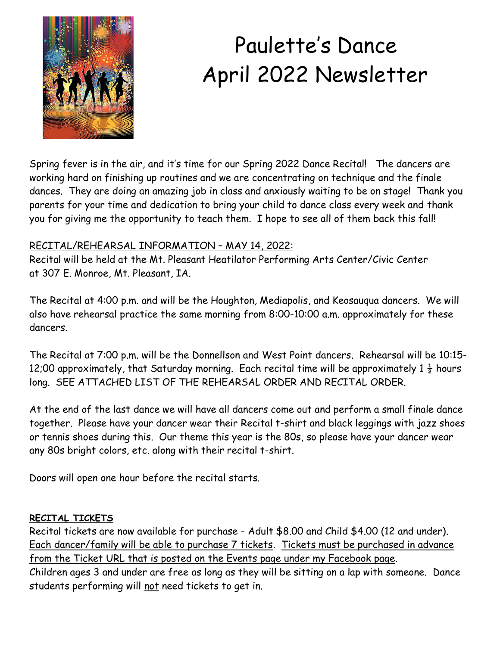

# Paulette's Dance April 2022 Newsletter

Spring fever is in the air, and it's time for our Spring 2022 Dance Recital! The dancers are working hard on finishing up routines and we are concentrating on technique and the finale dances. They are doing an amazing job in class and anxiously waiting to be on stage! Thank you parents for your time and dedication to bring your child to dance class every week and thank you for giving me the opportunity to teach them. I hope to see all of them back this fall!

## RECITAL/REHEARSAL INFORMATION – MAY 14, 2022:

Recital will be held at the Mt. Pleasant Heatilator Performing Arts Center/Civic Center at 307 E. Monroe, Mt. Pleasant, IA.

The Recital at 4:00 p.m. and will be the Houghton, Mediapolis, and Keosauqua dancers. We will also have rehearsal practice the same morning from 8:00-10:00 a.m. approximately for these dancers.

The Recital at 7:00 p.m. will be the Donnellson and West Point dancers. Rehearsal will be 10:15- 12;00 approximately, that Saturday morning. Each recital time will be approximately  $1\frac{1}{2}$  hours long. SEE ATTACHED LIST OF THE REHEARSAL ORDER AND RECITAL ORDER.

At the end of the last dance we will have all dancers come out and perform a small finale dance together. Please have your dancer wear their Recital t-shirt and black leggings with jazz shoes or tennis shoes during this. Our theme this year is the 80s, so please have your dancer wear any 80s bright colors, etc. along with their recital t-shirt.

Doors will open one hour before the recital starts.

#### **RECITAL TICKETS**

Recital tickets are now available for purchase - Adult \$8.00 and Child \$4.00 (12 and under). Each dancer/family will be able to purchase 7 tickets. Tickets must be purchased in advance from the Ticket URL that is posted on the Events page under my Facebook page. Children ages 3 and under are free as long as they will be sitting on a lap with someone. Dance students performing will not need tickets to get in.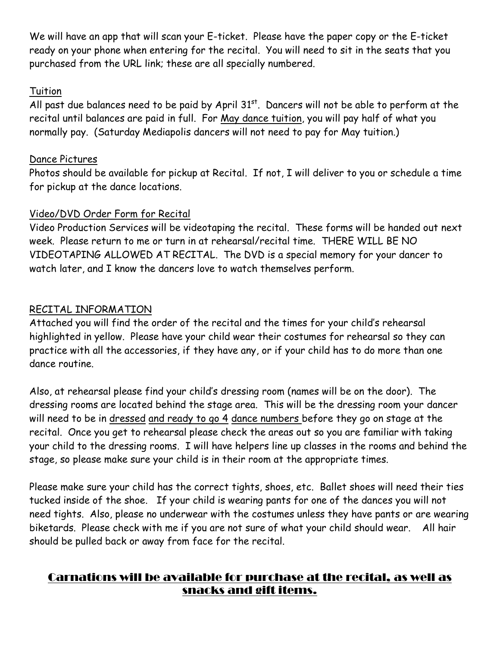We will have an app that will scan your E-ticket. Please have the paper copy or the E-ticket ready on your phone when entering for the recital. You will need to sit in the seats that you purchased from the URL link; these are all specially numbered.

#### Tuition

All past due balances need to be paid by April  $31<sup>st</sup>$ . Dancers will not be able to perform at the recital until balances are paid in full. For May dance tuition, you will pay half of what you normally pay. (Saturday Mediapolis dancers will not need to pay for May tuition.)

## Dance Pictures

Photos should be available for pickup at Recital. If not, I will deliver to you or schedule a time for pickup at the dance locations.

## Video/DVD Order Form for Recital

Video Production Services will be videotaping the recital. These forms will be handed out next week. Please return to me or turn in at rehearsal/recital time. THERE WILL BE NO VIDEOTAPING ALLOWED AT RECITAL. The DVD is a special memory for your dancer to watch later, and I know the dancers love to watch themselves perform.

## RECITAL INFORMATION

Attached you will find the order of the recital and the times for your child's rehearsal highlighted in yellow. Please have your child wear their costumes for rehearsal so they can practice with all the accessories, if they have any, or if your child has to do more than one dance routine.

Also, at rehearsal please find your child's dressing room (names will be on the door). The dressing rooms are located behind the stage area. This will be the dressing room your dancer will need to be in dressed and ready to go 4 dance numbers before they go on stage at the recital. Once you get to rehearsal please check the areas out so you are familiar with taking your child to the dressing rooms. I will have helpers line up classes in the rooms and behind the stage, so please make sure your child is in their room at the appropriate times.

Please make sure your child has the correct tights, shoes, etc. Ballet shoes will need their ties tucked inside of the shoe. If your child is wearing pants for one of the dances you will not need tights. Also, please no underwear with the costumes unless they have pants or are wearing biketards. Please check with me if you are not sure of what your child should wear. All hair should be pulled back or away from face for the recital.

# Carnations will be available for purchase at the recital, as well as snacks and gift items.